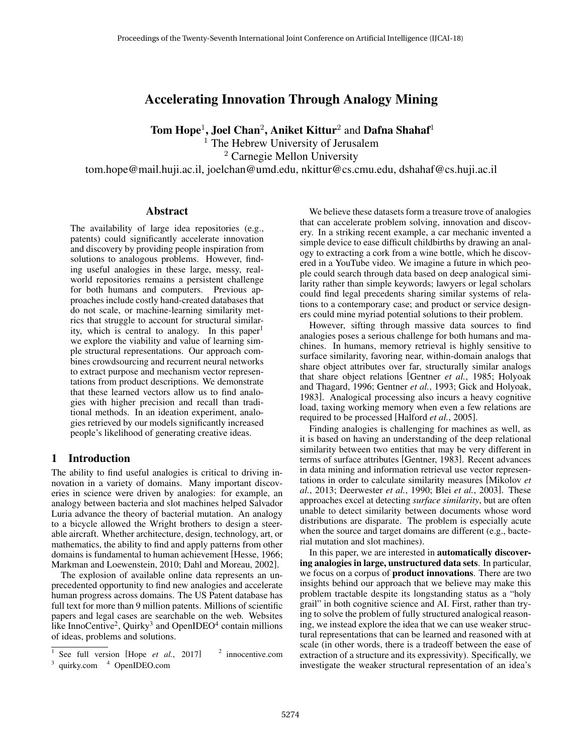# Accelerating Innovation Through Analogy Mining

Tom Hope<sup>1</sup>, Joel Chan<sup>2</sup>, Aniket Kittur<sup>2</sup> and Dafna Shahaf<sup>1</sup>

 $<sup>1</sup>$  The Hebrew University of Jerusalem</sup>

<sup>2</sup> Carnegie Mellon University

tom.hope@mail.huji.ac.il, joelchan@umd.edu, nkittur@cs.cmu.edu, dshahaf@cs.huji.ac.il

#### Abstract

The availability of large idea repositories (e.g., patents) could significantly accelerate innovation and discovery by providing people inspiration from solutions to analogous problems. However, finding useful analogies in these large, messy, realworld repositories remains a persistent challenge for both humans and computers. Previous approaches include costly hand-created databases that do not scale, or machine-learning similarity metrics that struggle to account for structural similarity, which is central to analogy. In this paper<sup>1</sup> we explore the viability and value of learning simple structural representations. Our approach combines crowdsourcing and recurrent neural networks to extract purpose and mechanism vector representations from product descriptions. We demonstrate that these learned vectors allow us to find analogies with higher precision and recall than traditional methods. In an ideation experiment, analogies retrieved by our models significantly increased people's likelihood of generating creative ideas.

### 1 Introduction

The ability to find useful analogies is critical to driving innovation in a variety of domains. Many important discoveries in science were driven by analogies: for example, an analogy between bacteria and slot machines helped Salvador Luria advance the theory of bacterial mutation. An analogy to a bicycle allowed the Wright brothers to design a steerable aircraft. Whether architecture, design, technology, art, or mathematics, the ability to find and apply patterns from other domains is fundamental to human achievement [Hesse, 1966; Markman and Loewenstein, 2010; Dahl and Moreau, 2002].

The explosion of available online data represents an unprecedented opportunity to find new analogies and accelerate human progress across domains. The US Patent database has full text for more than 9 million patents. Millions of scientific papers and legal cases are searchable on the web. Websites like InnoCentive<sup>2</sup>, Quirky<sup>3</sup> and OpenIDEO<sup>4</sup> contain millions of ideas, problems and solutions.

We believe these datasets form a treasure trove of analogies that can accelerate problem solving, innovation and discovery. In a striking recent example, a car mechanic invented a simple device to ease difficult childbirths by drawing an analogy to extracting a cork from a wine bottle, which he discovered in a YouTube video. We imagine a future in which people could search through data based on deep analogical similarity rather than simple keywords; lawyers or legal scholars could find legal precedents sharing similar systems of relations to a contemporary case; and product or service designers could mine myriad potential solutions to their problem.

However, sifting through massive data sources to find analogies poses a serious challenge for both humans and machines. In humans, memory retrieval is highly sensitive to surface similarity, favoring near, within-domain analogs that share object attributes over far, structurally similar analogs that share object relations [Gentner *et al.*, 1985; Holyoak and Thagard, 1996; Gentner *et al.*, 1993; Gick and Holyoak, 1983]. Analogical processing also incurs a heavy cognitive load, taxing working memory when even a few relations are required to be processed [Halford *et al.*, 2005].

Finding analogies is challenging for machines as well, as it is based on having an understanding of the deep relational similarity between two entities that may be very different in terms of surface attributes [Gentner, 1983]. Recent advances in data mining and information retrieval use vector representations in order to calculate similarity measures [Mikolov *et al.*, 2013; Deerwester *et al.*, 1990; Blei *et al.*, 2003]. These approaches excel at detecting *surface similarity*, but are often unable to detect similarity between documents whose word distributions are disparate. The problem is especially acute when the source and target domains are different (e.g., bacterial mutation and slot machines).

In this paper, we are interested in **automatically discover**ing analogies in large, unstructured data sets. In particular, we focus on a corpus of product innovations. There are two insights behind our approach that we believe may make this problem tractable despite its longstanding status as a "holy grail" in both cognitive science and AI. First, rather than trying to solve the problem of fully structured analogical reasoning, we instead explore the idea that we can use weaker structural representations that can be learned and reasoned with at scale (in other words, there is a tradeoff between the ease of extraction of a structure and its expressivity). Specifically, we investigate the weaker structural representation of an idea's

<sup>&</sup>lt;sup>1</sup> See full version [Hope *et al.*, 2017] 2 innocentive.com <sup>3</sup> quirky.com <sup>4</sup> OpenIDEO.com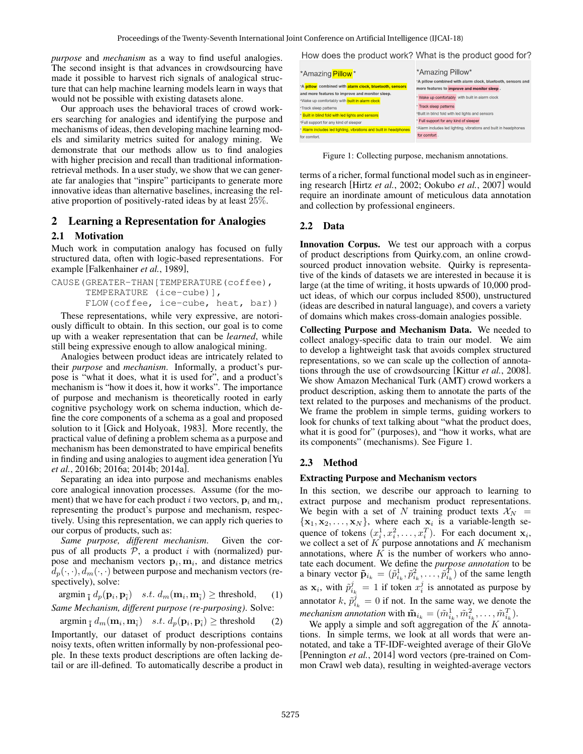*purpose* and *mechanism* as a way to find useful analogies. The second insight is that advances in crowdsourcing have made it possible to harvest rich signals of analogical structure that can help machine learning models learn in ways that would not be possible with existing datasets alone.

Our approach uses the behavioral traces of crowd workers searching for analogies and identifying the purpose and mechanisms of ideas, then developing machine learning models and similarity metrics suited for analogy mining. We demonstrate that our methods allow us to find analogies with higher precision and recall than traditional informationretrieval methods. In a user study, we show that we can generate far analogies that "inspire" participants to generate more innovative ideas than alternative baselines, increasing the relative proportion of positively-rated ideas by at least 25%.

# 2 Learning a Representation for Analogies

### 2.1 Motivation

Much work in computation analogy has focused on fully structured data, often with logic-based representations. For example [Falkenhainer *et al.*, 1989],

```
CAUSE(GREATER-THAN[TEMPERATURE(coffee),
TEMPERATURE (ice-cube)],
FLOW(coffee, ice-cube, heat, bar))
```
These representations, while very expressive, are notoriously difficult to obtain. In this section, our goal is to come up with a weaker representation that can be *learned*, while still being expressive enough to allow analogical mining.

Analogies between product ideas are intricately related to their *purpose* and *mechanism*. Informally, a product's purpose is "what it does, what it is used for", and a product's mechanism is "how it does it, how it works". The importance of purpose and mechanism is theoretically rooted in early cognitive psychology work on schema induction, which define the core components of a schema as a goal and proposed solution to it [Gick and Holyoak, 1983]. More recently, the practical value of defining a problem schema as a purpose and mechanism has been demonstrated to have empirical benefits in finding and using analogies to augment idea generation [Yu *et al.*, 2016b; 2016a; 2014b; 2014a].

Separating an idea into purpose and mechanisms enables core analogical innovation processes. Assume (for the moment) that we have for each product i two vectors,  ${\bf p}_i$  and  ${\bf m}_i$ , representing the product's purpose and mechanism, respectively. Using this representation, we can apply rich queries to our corpus of products, such as:

*Same purpose, different mechanism*. Given the corpus of all products  $P$ , a product i with (normalized) purpose and mechanism vectors  $\mathbf{p}_i$ ,  $\mathbf{m}_i$ , and distance metrics  $d_p(\cdot, \cdot), d_m(\cdot, \cdot)$  between purpose and mechanism vectors (respectively), solve:

argmin  $_{\tilde{\mathbf{i}}} d_p(\mathbf{p}_i, \mathbf{p}_{\tilde{i}})$  s.t.  $d_m(\mathbf{m}_i, \mathbf{m}_{\tilde{i}}) \geq \text{threshold},$  (1)

*Same Mechanism, different purpose (re-purposing)*. Solve:

$$
\operatorname{argmin}_{\tilde{\mathbf{i}}} d_m(\mathbf{m}_i, \mathbf{m}_{\tilde{i}}) \quad s.t. \ d_p(\mathbf{p}_i, \mathbf{p}_{\tilde{i}}) \ge \text{threshold} \tag{2}
$$

Importantly, our dataset of product descriptions contains noisy texts, often written informally by non-professional people. In these texts product descriptions are often lacking detail or are ill-defined. To automatically describe a product in How does the product work? What is the product good for?

| *Amazing <b>Pillow</b> *                                                                                 | *Amazing Pillow*                                                                                           |
|----------------------------------------------------------------------------------------------------------|------------------------------------------------------------------------------------------------------------|
| *A pillow combined with alarm clock, bluetooth, sensors                                                  | *A pillow combined with alarm clock, bluetooth, sensors and<br>more features to improve and monitor sleep. |
| and more features to improve and monitor sleep.<br>*Wake up comfortably with <b>built in alarm clock</b> | * Wake up comfortably with built in alarm clock                                                            |
| *Track sleep patterns<br>* Built in blind fold with led lights and sensors                               | * Track sleep patterns<br>*Built in blind fold with led lights and sensors                                 |
| *Full support for any kind of sleeper                                                                    | * Full support for any kind of sleeper                                                                     |
| * Alarm includes led lighting, vibrations and built in headphones<br>for comfort.                        | *Alarm includes led lighting, vibrations and built in headphones<br>for comfort.                           |
|                                                                                                          |                                                                                                            |

Figure 1: Collecting purpose, mechanism annotations.

terms of a richer, formal functional model such as in engineering research [Hirtz *et al.*, 2002; Ookubo *et al.*, 2007] would require an inordinate amount of meticulous data annotation and collection by professional engineers.

# 2.2 Data

Innovation Corpus. We test our approach with a corpus of product descriptions from Quirky.com, an online crowdsourced product innovation website. Quirky is representative of the kinds of datasets we are interested in because it is large (at the time of writing, it hosts upwards of 10,000 product ideas, of which our corpus included 8500), unstructured (ideas are described in natural language), and covers a variety of domains which makes cross-domain analogies possible.

Collecting Purpose and Mechanism Data. We needed to collect analogy-specific data to train our model. We aim to develop a lightweight task that avoids complex structured representations, so we can scale up the collection of annotations through the use of crowdsourcing [Kittur *et al.*, 2008]. We show Amazon Mechanical Turk (AMT) crowd workers a product description, asking them to annotate the parts of the text related to the purposes and mechanisms of the product. We frame the problem in simple terms, guiding workers to look for chunks of text talking about "what the product does, what it is good for" (purposes), and "how it works, what are its components" (mechanisms). See Figure 1.

# 2.3 Method

#### Extracting Purpose and Mechanism vectors

In this section, we describe our approach to learning to extract purpose and mechanism product representations. We begin with a set of N training product texts  $\mathcal{X}_N$  =  $\{x_1, x_2, \ldots, x_N\}$ , where each  $x_i$  is a variable-length sequence of tokens  $(x_i^1, x_i^2, \dots, x_i^T)$ . For each document  $\mathbf{x}_i$ , we collect a set of  $K$  purpose annotations and  $K$  mechanism annotations, where  $K$  is the number of workers who annotate each document. We define the *purpose annotation* to be a binary vector  $\tilde{\mathbf{p}}_{i_k} = (\tilde{p}_{i_k}^1, \tilde{p}_{i_k}^2, \dots, \tilde{p}_{i_k}^T)$  of the same length as  $\mathbf{x}_i$ , with  $\tilde{p}_{i_k}^j = 1$  if token  $x_i^j$  is annotated as purpose by annotator  $k, \tilde{p}_{i_k}^j = 0$  if not. In the same way, we denote the *mechanism annotation* with  $\tilde{\mathbf{m}}_{i_k} = (\tilde{m}_{i_k}^1, \tilde{m}_{i_k}^2, \dots, \tilde{m}_{i_k}^T)$ .

We apply a simple and soft aggregation of the  $K$  annotations. In simple terms, we look at all words that were annotated, and take a TF-IDF-weighted average of their GloVe [Pennington *et al.*, 2014] word vectors (pre-trained on Common Crawl web data), resulting in weighted-average vectors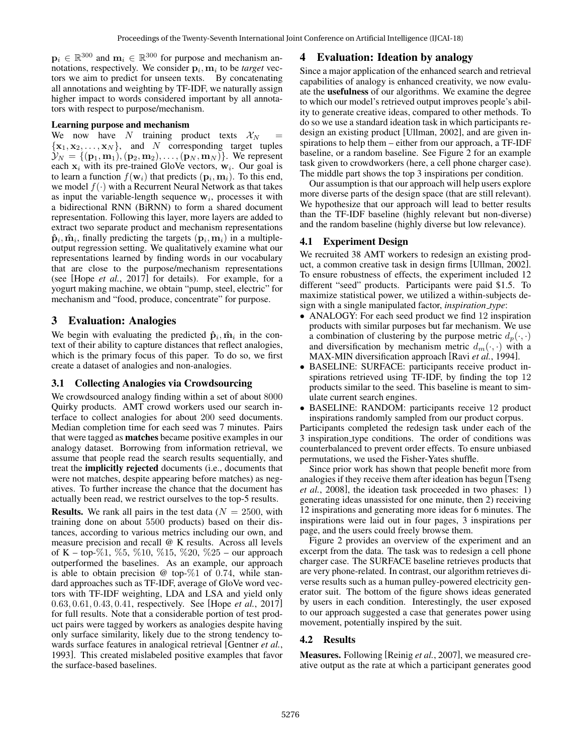$\mathbf{p}_i \in \mathbb{R}^{300}$  and  $\mathbf{m}_i \in \mathbb{R}^{300}$  for purpose and mechanism annotations, respectively. We consider  $\mathbf{p}_i, \mathbf{m}_i$  to be *target* vectors we aim to predict for unseen texts. By concatenating all annotations and weighting by TF-IDF, we naturally assign higher impact to words considered important by all annotators with respect to purpose/mechanism.

#### Learning purpose and mechanism

We now have N training product texts  $\mathcal{X}_N$  =  ${x_1, x_2, \ldots, x_N}$ , and N corresponding target tuples  $\mathcal{Y}_N = \{(\mathbf{p}_1, \mathbf{m}_1), (\mathbf{p}_2, \mathbf{m}_2), \dots, (\mathbf{p}_N, \mathbf{m}_N)\}.$  We represent each  $x_i$  with its pre-trained GloVe vectors,  $w_i$ . Our goal is to learn a function  $f(\mathbf{w}_i)$  that predicts  $(\mathbf{p}_i, \mathbf{m}_i)$ . To this end, we model  $f(\cdot)$  with a Recurrent Neural Network as that takes as input the variable-length sequence  $w_i$ , processes it with a bidirectional RNN (BiRNN) to form a shared document representation. Following this layer, more layers are added to extract two separate product and mechanism representations  $\hat{\mathbf{p}}_i$ ,  $\hat{\mathbf{m}}_i$ , finally predicting the targets  $(\mathbf{p}_i, \mathbf{m}_i)$  in a multipleoutput regression setting. We qualitatively examine what our representations learned by finding words in our vocabulary that are close to the purpose/mechanism representations (see [Hope *et al.*, 2017] for details). For example, for a yogurt making machine, we obtain "pump, steel, electric" for mechanism and "food, produce, concentrate" for purpose.

# 3 Evaluation: Analogies

We begin with evaluating the predicted  $\hat{\mathbf{p}}_i$ ,  $\hat{\mathbf{m}}_i$  in the context of their ability to capture distances that reflect analogies, which is the primary focus of this paper. To do so, we first create a dataset of analogies and non-analogies.

#### 3.1 Collecting Analogies via Crowdsourcing

We crowdsourced analogy finding within a set of about 8000 Quirky products. AMT crowd workers used our search interface to collect analogies for about 200 seed documents. Median completion time for each seed was 7 minutes. Pairs that were tagged as matches became positive examples in our analogy dataset. Borrowing from information retrieval, we assume that people read the search results sequentially, and treat the implicitly rejected documents (i.e., documents that were not matches, despite appearing before matches) as negatives. To further increase the chance that the document has actually been read, we restrict ourselves to the top-5 results.

**Results.** We rank all pairs in the test data ( $N = 2500$ , with training done on about 5500 products) based on their distances, according to various metrics including our own, and measure precision and recall @ K results. Across all levels of K – top-%1, %5, %10, %15, %20, %25 – our approach outperformed the baselines. As an example, our approach is able to obtain precision  $\omega$  top- $\%$ 1 of 0.74, while standard approaches such as TF-IDF, average of GloVe word vectors with TF-IDF weighting, LDA and LSA and yield only 0.63, 0.61, 0.43, 0.41, respectively. See [Hope *et al.*, 2017] for full results. Note that a considerable portion of test product pairs were tagged by workers as analogies despite having only surface similarity, likely due to the strong tendency towards surface features in analogical retrieval [Gentner *et al.*, 1993]. This created mislabeled positive examples that favor the surface-based baselines.

### 4 Evaluation: Ideation by analogy

Since a major application of the enhanced search and retrieval capabilities of analogy is enhanced creativity, we now evaluate the usefulness of our algorithms. We examine the degree to which our model's retrieved output improves people's ability to generate creative ideas, compared to other methods. To do so we use a standard ideation task in which participants redesign an existing product [Ullman, 2002], and are given inspirations to help them – either from our approach, a TF-IDF baseline, or a random baseline. See Figure 2 for an example task given to crowdworkers (here, a cell phone charger case). The middle part shows the top 3 inspirations per condition.

Our assumption is that our approach will help users explore more diverse parts of the design space (that are still relevant). We hypothesize that our approach will lead to better results than the TF-IDF baseline (highly relevant but non-diverse) and the random baseline (highly diverse but low relevance).

# 4.1 Experiment Design

We recruited 38 AMT workers to redesign an existing product, a common creative task in design firms [Ullman, 2002]. To ensure robustness of effects, the experiment included 12 different "seed" products. Participants were paid \$1.5. To maximize statistical power, we utilized a within-subjects design with a single manipulated factor, *inspiration type*:

- ANALOGY: For each seed product we find 12 inspiration products with similar purposes but far mechanism. We use a combination of clustering by the purpose metric  $d_p(\cdot, \cdot)$ and diversification by mechanism metric  $d_m(\cdot, \cdot)$  with a MAX-MIN diversification approach [Ravi *et al.*, 1994].
- BASELINE: SURFACE: participants receive product inspirations retrieved using TF-IDF, by finding the top 12 products similar to the seed. This baseline is meant to simulate current search engines.
- BASELINE: RANDOM: participants receive 12 product inspirations randomly sampled from our product corpus.

Participants completed the redesign task under each of the 3 inspiration type conditions. The order of conditions was counterbalanced to prevent order effects. To ensure unbiased permutations, we used the Fisher-Yates shuffle.

Since prior work has shown that people benefit more from analogies if they receive them after ideation has begun [Tseng *et al.*, 2008], the ideation task proceeded in two phases: 1) generating ideas unassisted for one minute, then 2) receiving 12 inspirations and generating more ideas for 6 minutes. The inspirations were laid out in four pages, 3 inspirations per page, and the users could freely browse them.

Figure 2 provides an overview of the experiment and an excerpt from the data. The task was to redesign a cell phone charger case. The SURFACE baseline retrieves products that are very phone-related. In contrast, our algorithm retrieves diverse results such as a human pulley-powered electricity generator suit. The bottom of the figure shows ideas generated by users in each condition. Interestingly, the user exposed to our approach suggested a case that generates power using movement, potentially inspired by the suit.

### 4.2 Results

Measures. Following [Reinig *et al.*, 2007], we measured creative output as the rate at which a participant generates good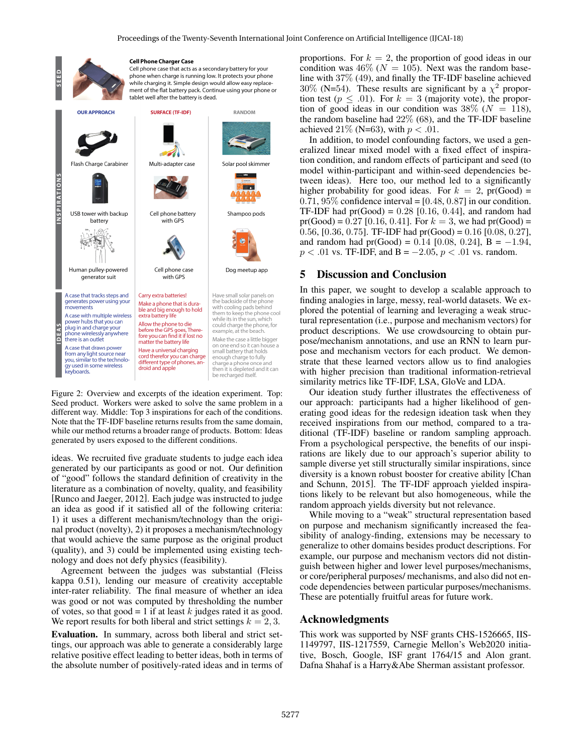

Figure 2: Overview and excerpts of the ideation experiment. Top: Seed product. Workers were asked to solve the same problem in a different way. Middle: Top 3 inspirations for each of the conditions. Note that the TF-IDF baseline returns results from the same domain, while our method returns a broader range of products. Bottom: Ideas generated by users exposed to the different conditions.

ideas. We recruited five graduate students to judge each idea generated by our participants as good or not. Our definition of "good" follows the standard definition of creativity in the literature as a combination of novelty, quality, and feasibility [Runco and Jaeger, 2012]. Each judge was instructed to judge an idea as good if it satisfied all of the following criteria: 1) it uses a different mechanism/technology than the original product (novelty), 2) it proposes a mechanism/technology that would achieve the same purpose as the original product (quality), and 3) could be implemented using existing technology and does not defy physics (feasibility).

Agreement between the judges was substantial (Fleiss kappa 0.51), lending our measure of creativity acceptable inter-rater reliability. The final measure of whether an idea was good or not was computed by thresholding the number of votes, so that good = 1 if at least  $k$  judges rated it as good. We report results for both liberal and strict settings  $k = 2, 3$ .

Evaluation. In summary, across both liberal and strict settings, our approach was able to generate a considerably large relative positive effect leading to better ideas, both in terms of the absolute number of positively-rated ideas and in terms of proportions. For  $k = 2$ , the proportion of good ideas in our condition was  $46\%$  ( $N = 105$ ). Next was the random baseline with 37% (49), and finally the TF-IDF baseline achieved 30% (N=54). These results are significant by a  $\chi^2$  proportion test ( $p \leq .01$ ). For  $k = 3$  (majority vote), the proportion of good ideas in our condition was  $38\%$  ( $N = 118$ ), the random baseline had 22% (68), and the TF-IDF baseline achieved 21% (N=63), with  $p < .01$ .

In addition, to model confounding factors, we used a generalized linear mixed model with a fixed effect of inspiration condition, and random effects of participant and seed (to model within-participant and within-seed dependencies between ideas). Here too, our method led to a significantly higher probability for good ideas. For  $k = 2$ , pr(Good) =  $0.71, 95\%$  confidence interval = [0.48, 0.87] in our condition. TF-IDF had  $pr(Good) = 0.28$  [0.16, 0.44], and random had pr(Good) = 0.27 [0.16, 0.41]. For  $k = 3$ , we had pr(Good) = 0.56, [0.36, 0.75]. TF-IDF had  $pr(Good) = 0.16$  [0.08, 0.27], and random had pr(Good) =  $0.14$  [0.08, 0.24], B =  $-1.94$ ,  $p < .01$  vs. TF-IDF, and B =  $-2.05, p < .01$  vs. random.

#### 5 Discussion and Conclusion

In this paper, we sought to develop a scalable approach to finding analogies in large, messy, real-world datasets. We explored the potential of learning and leveraging a weak structural representation (i.e., purpose and mechanism vectors) for product descriptions. We use crowdsourcing to obtain purpose/mechanism annotations, and use an RNN to learn purpose and mechanism vectors for each product. We demonstrate that these learned vectors allow us to find analogies with higher precision than traditional information-retrieval similarity metrics like TF-IDF, LSA, GloVe and LDA.

Our ideation study further illustrates the effectiveness of our approach: participants had a higher likelihood of generating good ideas for the redesign ideation task when they received inspirations from our method, compared to a traditional (TF-IDF) baseline or random sampling approach. From a psychological perspective, the benefits of our inspirations are likely due to our approach's superior ability to sample diverse yet still structurally similar inspirations, since diversity is a known robust booster for creative ability [Chan and Schunn, 2015]. The TF-IDF approach yielded inspirations likely to be relevant but also homogeneous, while the random approach yields diversity but not relevance.

While moving to a "weak" structural representation based on purpose and mechanism significantly increased the feasibility of analogy-finding, extensions may be necessary to generalize to other domains besides product descriptions. For example, our purpose and mechanism vectors did not distinguish between higher and lower level purposes/mechanisms, or core/peripheral purposes/ mechanisms, and also did not encode dependencies between particular purposes/mechanisms. These are potentially fruitful areas for future work.

#### Acknowledgments

This work was supported by NSF grants CHS-1526665, IIS-1149797, IIS-1217559, Carnegie Mellon's Web2020 initiative, Bosch, Google, ISF grant 1764/15 and Alon grant. Dafna Shahaf is a Harry&Abe Sherman assistant professor.